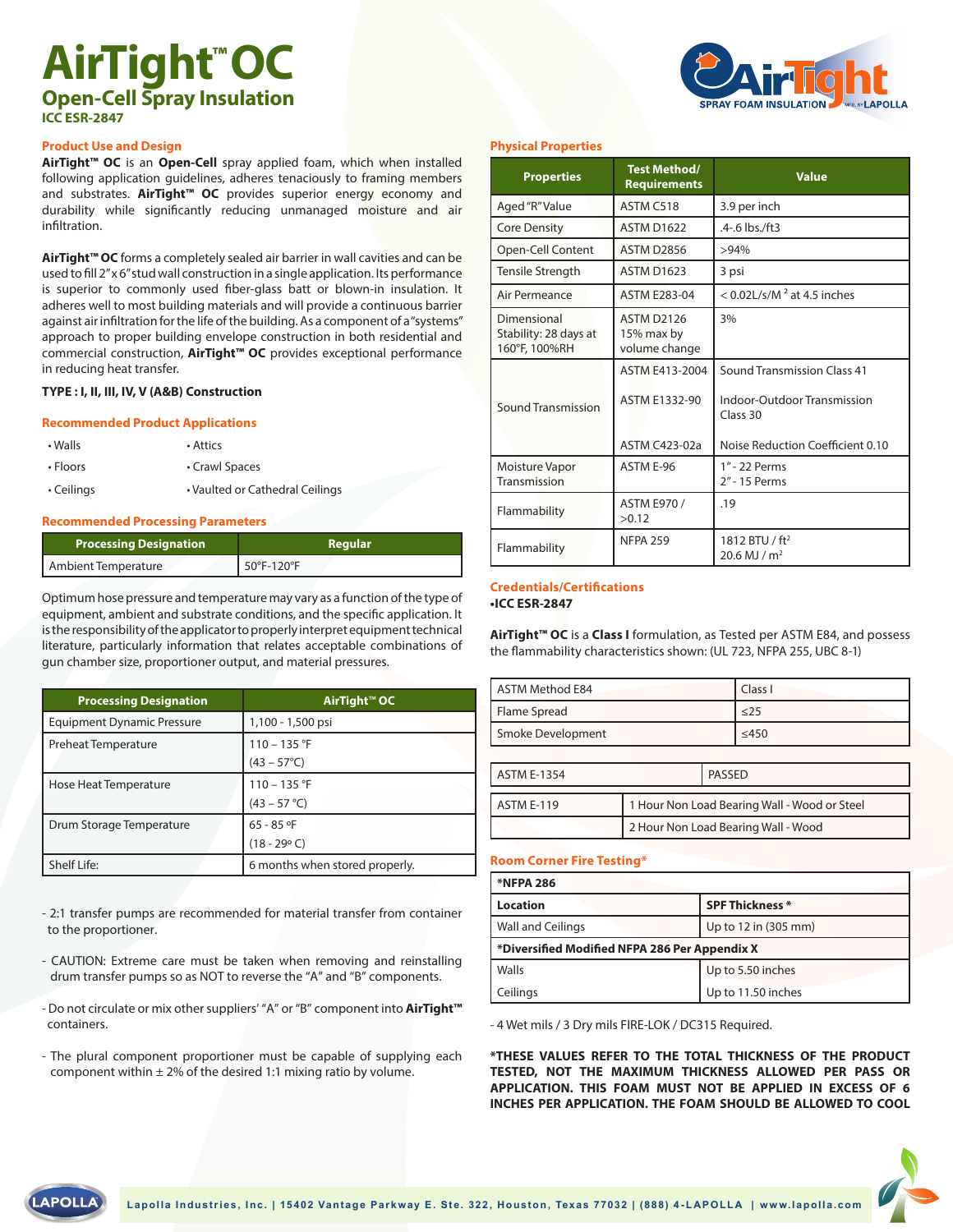# **AirTight™OC Open-Cell Spray Insulation ICC ESR-2847**



# **Product Use and Design**

**AirTight™ OC** is an **Open-Cell** spray applied foam, which when installed following application guidelines, adheres tenaciously to framing members and substrates. **AirTight™ OC** provides superior energy economy and durability while significantly reducing unmanaged moisture and air infiltration.

**AirTight™ OC** forms a completely sealed air barrier in wall cavities and can be used to fill 2" x 6" stud wall construction in a single application. Its performance is superior to commonly used fiber-glass batt or blown-in insulation. It adheres well to most building materials and will provide a continuous barrier against air infiltration for the life of the building. As a component of a "systems" approach to proper building envelope construction in both residential and commercial construction, **AirTight™ OC** provides exceptional performance in reducing heat transfer.

# **TYPE : I, II, III, IV, V (A&B) Construction**

# **Recommended Product Applications**

| $\cdot$ Walls    | • Attics                        |
|------------------|---------------------------------|
| • Floors         | • Crawl Spaces                  |
| $\cdot$ Ceilings | • Vaulted or Cathedral Ceilings |

# **Recommended Processing Parameters**

| Processing Designation | ' Regular, |
|------------------------|------------|
| Ambient Temperature    | 50°F-120°F |

Optimum hose pressure and temperature may vary as a function of the type of equipment, ambient and substrate conditions, and the specific application. It is the responsibility of the applicator to properly interpret equipment technical literature, particularly information that relates acceptable combinations of gun chamber size, proportioner output, and material pressures.

| <b>Processing Designation</b>     | AirTight™ OC                   |
|-----------------------------------|--------------------------------|
| <b>Equipment Dynamic Pressure</b> | 1,100 - 1,500 psi              |
| Preheat Temperature               | $110 - 135$ °F                 |
|                                   | $(43 - 57^{\circ}C)$           |
| Hose Heat Temperature             | $110 - 135$ °F                 |
|                                   | $(43 - 57 °C)$                 |
| Drum Storage Temperature          | $65 - 85$ °F                   |
|                                   | $(18 - 29$ °C)                 |
| Shelf Life:                       | 6 months when stored properly. |

- 2:1 transfer pumps are recommended for material transfer from container to the proportioner.

- CAUTION: Extreme care must be taken when removing and reinstalling drum transfer pumps so as NOT to reverse the "A" and "B" components.
- Do not circulate or mix other suppliers' "A" or "B" component into **AirTight™** containers.
- The plural component proportioner must be capable of supplying each component within  $\pm 2\%$  of the desired 1:1 mixing ratio by volume.

# **Physical Properties**

| <b>Properties</b>                                     | <b>Test Method/</b><br><b>Requirements</b>                     | <b>Value</b>                                                                                                      |
|-------------------------------------------------------|----------------------------------------------------------------|-------------------------------------------------------------------------------------------------------------------|
| Aged "R" Value                                        | ASTM C518                                                      | 3.9 per inch                                                                                                      |
| <b>Core Density</b>                                   | <b>ASTM D1622</b>                                              | .4-.6 lbs./ft3                                                                                                    |
| Open-Cell Content                                     | ASTM D2856                                                     | >94%                                                                                                              |
| Tensile Strength                                      | <b>ASTM D1623</b>                                              | 3 psi                                                                                                             |
| Air Permeance                                         | <b>ASTM E283-04</b>                                            | $<$ 0.02L/s/M <sup>2</sup> at 4.5 inches                                                                          |
| Dimensional<br>Stability: 28 days at<br>160°F, 100%RH | <b>ASTM D2126</b><br>15% max by<br>volume change               | 3%                                                                                                                |
| <b>Sound Transmission</b>                             | ASTM E413-2004<br><b>ASTM E1332-90</b><br><b>ASTM C423-02a</b> | <b>Sound Transmission Class 41</b><br>Indoor-Outdoor Transmission<br>Class 30<br>Noise Reduction Coefficient 0.10 |
| Moisture Vapor<br><b>Transmission</b>                 | ASTM E-96                                                      | 1" - 22 Perms<br>2" - 15 Perms                                                                                    |
| Flammability                                          | ASTM E970 /<br>>0.12                                           | .19                                                                                                               |
| Flammability                                          | <b>NFPA 259</b>                                                | 1812 BTU / ft <sup>2</sup><br>20.6 MJ / $m2$                                                                      |

#### **Credentials/Certifications •ICC ESR-2847**

**AirTight™ OC** is a **Class I** formulation, as Tested per ASTM E84, and possess the flammability characteristics shown: (UL 723, NFPA 255, UBC 8-1)

| ASTM Method E84   | Class I   |
|-------------------|-----------|
| Flame Spread      | $\leq$ 25 |
| Smoke Development | ≤450      |

| <b>ASTM E-1354</b> |                                              | PASSED |
|--------------------|----------------------------------------------|--------|
| ASTM E-119         | 1 Hour Non Load Bearing Wall - Wood or Steel |        |
|                    | 2 Hour Non Load Bearing Wall - Wood          |        |

# **Room Corner Fire Testing\***

| <b>*NFPA 286</b>                              |                        |  |  |
|-----------------------------------------------|------------------------|--|--|
| Location                                      | <b>SPF Thickness *</b> |  |  |
| <b>Wall and Ceilings</b>                      | Up to 12 in (305 mm)   |  |  |
| *Diversified Modified NFPA 286 Per Appendix X |                        |  |  |
| l Walls                                       | Up to 5.50 inches      |  |  |
| Ceilings                                      | Up to 11.50 inches     |  |  |

- 4 Wet mils / 3 Dry mils FIRE-LOK / DC315 Required.

**\*THESE VALUES REFER TO THE TOTAL THICKNESS OF THE PRODUCT TESTED, NOT THE MAXIMUM THICKNESS ALLOWED PER PASS OR APPLICATION. THIS FOAM MUST NOT BE APPLIED IN EXCESS OF 6 INCHES PER APPLICATION. THE FOAM SHOULD BE ALLOWED TO COOL**